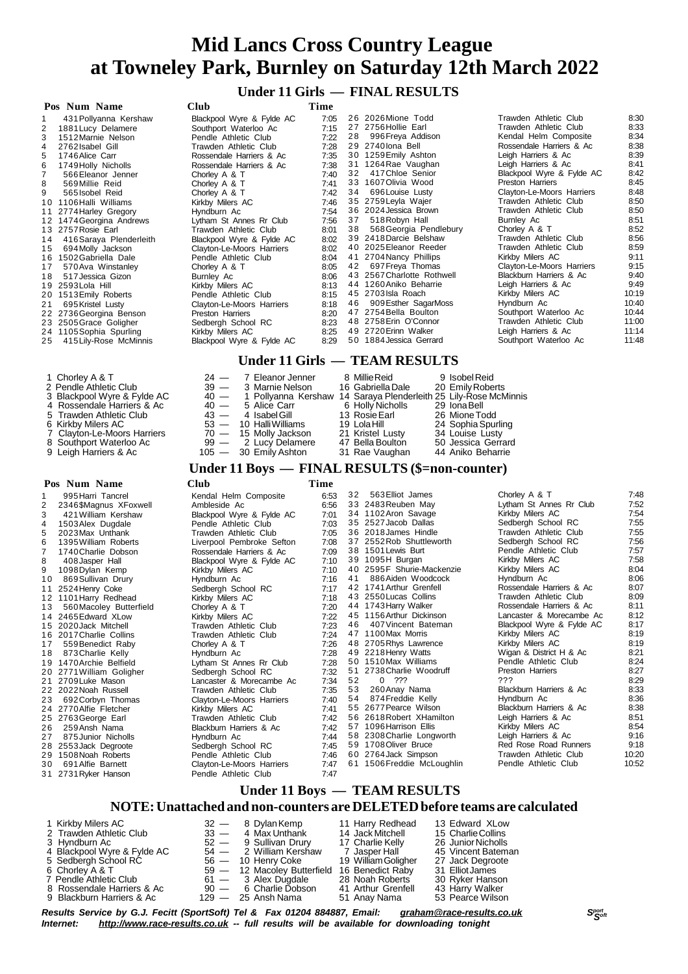**Under 11 Girls — FINAL RESULTS**

|                         | Club                                                                                                                                                                                                                                  | Time |    |                        |                                                                                                                                                                                                                                                                                                                                                                                                                                                                                           |                                      |
|-------------------------|---------------------------------------------------------------------------------------------------------------------------------------------------------------------------------------------------------------------------------------|------|----|------------------------|-------------------------------------------------------------------------------------------------------------------------------------------------------------------------------------------------------------------------------------------------------------------------------------------------------------------------------------------------------------------------------------------------------------------------------------------------------------------------------------------|--------------------------------------|
| 431 Pollyanna Kershaw   | Blackpool Wyre & Fylde AC                                                                                                                                                                                                             | 7:05 |    |                        | Trawden Athletic Club                                                                                                                                                                                                                                                                                                                                                                                                                                                                     | 8:30                                 |
|                         | Southport Waterloo Ac                                                                                                                                                                                                                 | 7:15 |    |                        | Trawden Athletic Club                                                                                                                                                                                                                                                                                                                                                                                                                                                                     | 8:33                                 |
| 1512 Marnie Nelson      | Pendle Athletic Club                                                                                                                                                                                                                  | 7:22 |    | 996 Freya Addison      | Kendal Helm Composite                                                                                                                                                                                                                                                                                                                                                                                                                                                                     | 8:34                                 |
| 2762 Isabel Gill        | Trawden Athletic Club                                                                                                                                                                                                                 | 7:28 |    |                        | Rossendale Harriers & Ac                                                                                                                                                                                                                                                                                                                                                                                                                                                                  | 8:38                                 |
| 1746 Alice Carr         | Rossendale Harriers & Ac                                                                                                                                                                                                              | 7:35 |    |                        | Leigh Harriers & Ac                                                                                                                                                                                                                                                                                                                                                                                                                                                                       | 8:39                                 |
| 1749 Holly Nicholls     | Rossendale Harriers & Ac                                                                                                                                                                                                              | 7:38 |    |                        | Leigh Harriers & Ac                                                                                                                                                                                                                                                                                                                                                                                                                                                                       | 8:41                                 |
| 566 Eleanor Jenner      | Chorley A & T                                                                                                                                                                                                                         | 7:40 |    | 417 Chloe Senior       | Blackpool Wyre & Fylde AC                                                                                                                                                                                                                                                                                                                                                                                                                                                                 | 8:42                                 |
| 569 Millie Reid         | Chorley A & T                                                                                                                                                                                                                         | 7:41 |    |                        | Preston Harriers                                                                                                                                                                                                                                                                                                                                                                                                                                                                          | 8:45                                 |
| 565 Isobel Reid         | Chorley A & T                                                                                                                                                                                                                         | 7:42 | 34 | 696 Louise Lusty       | Clayton-Le-Moors Harriers                                                                                                                                                                                                                                                                                                                                                                                                                                                                 | 8:48                                 |
| 1106 Halli Williams     | Kirkby Milers AC                                                                                                                                                                                                                      | 7.46 |    |                        | Trawden Athletic Club                                                                                                                                                                                                                                                                                                                                                                                                                                                                     | 8:50                                 |
|                         | Hyndburn Ac                                                                                                                                                                                                                           | 7:54 |    |                        | Trawden Athletic Club                                                                                                                                                                                                                                                                                                                                                                                                                                                                     | 8:50                                 |
|                         | Lytham St Annes Rr Club                                                                                                                                                                                                               | 7:56 |    | 518 Robyn Hall         | Burnley Ac                                                                                                                                                                                                                                                                                                                                                                                                                                                                                | 8:51                                 |
|                         | Trawden Athletic Club                                                                                                                                                                                                                 | 8:01 |    | 568 Georgia Pendlebury | Chorley A & T                                                                                                                                                                                                                                                                                                                                                                                                                                                                             | 8:52                                 |
| 416 Saraya Plenderleith | Blackpool Wyre & Fylde AC                                                                                                                                                                                                             | 8:02 |    |                        | Trawden Athletic Club                                                                                                                                                                                                                                                                                                                                                                                                                                                                     | 8:56                                 |
| 694 Molly Jackson       | Clayton-Le-Moors Harriers                                                                                                                                                                                                             | 8:02 |    |                        | Trawden Athletic Club                                                                                                                                                                                                                                                                                                                                                                                                                                                                     | 8:59                                 |
| 1502 Gabriella Dale     | Pendle Athletic Club                                                                                                                                                                                                                  | 8:04 |    |                        |                                                                                                                                                                                                                                                                                                                                                                                                                                                                                           | 9:11                                 |
| 570 Ava Winstanley      | Chorley A & T                                                                                                                                                                                                                         | 8:05 |    | 697 Freya Thomas       | Clayton-Le-Moors Harriers                                                                                                                                                                                                                                                                                                                                                                                                                                                                 | 9:15                                 |
| 517 Jessica Gizon       | Burnley Ac                                                                                                                                                                                                                            | 8:06 |    |                        | Blackburn Harriers & Ac                                                                                                                                                                                                                                                                                                                                                                                                                                                                   | 9:40                                 |
|                         | Kirkby Milers AC                                                                                                                                                                                                                      | 8:13 |    |                        | Leigh Harriers & Ac                                                                                                                                                                                                                                                                                                                                                                                                                                                                       | 9:49                                 |
| 1513 Emily Roberts      | Pendle Athletic Club                                                                                                                                                                                                                  | 8:15 |    |                        |                                                                                                                                                                                                                                                                                                                                                                                                                                                                                           | 10:19                                |
| 695 Kristel Lusty       | Clayton-Le-Moors Harriers                                                                                                                                                                                                             | 8:18 |    | 909 Esther SagarMoss   | Hyndburn Ac                                                                                                                                                                                                                                                                                                                                                                                                                                                                               | 10:40                                |
|                         | Preston Harriers                                                                                                                                                                                                                      | 8:20 |    |                        | Southport Waterloo Ac                                                                                                                                                                                                                                                                                                                                                                                                                                                                     | 10:44                                |
|                         | Sedbergh School RC                                                                                                                                                                                                                    | 8:23 |    |                        | Trawden Athletic Club                                                                                                                                                                                                                                                                                                                                                                                                                                                                     | 11:00                                |
|                         | Kirkby Milers AC                                                                                                                                                                                                                      | 8:25 |    |                        | Leigh Harriers & Ac                                                                                                                                                                                                                                                                                                                                                                                                                                                                       | 11:14                                |
| 415 Lily-Rose McMinnis  | Blackpool Wyre & Fylde AC                                                                                                                                                                                                             | 8:29 |    |                        | Southport Waterloo Ac                                                                                                                                                                                                                                                                                                                                                                                                                                                                     | 11:48                                |
| 20                      | Pos Num Name<br>1881 Lucy Delamere<br>10<br>11 2774 Harley Gregory<br>12 1474 Georgina Andrews<br>13 2757 Rosie Earl<br>14<br>16<br>19 2593 Lola Hill<br>22 2736 Georgina Benson<br>23 2505 Grace Goligher<br>24 1105 Sophia Spurling |      |    |                        | 26 2026 Mione Todd<br>27 2756 Hollie Earl<br>28<br>29 2740 lona Bell<br>30 1259 Emily Ashton<br>31 1264 Rae Vaughan<br>32<br>33 1607 Olivia Wood<br>35 2759 Leyla Wajer<br>36 2024 Jessica Brown<br>37<br>38<br>39 2418 Darcie Belshaw<br>40 2025 Eleanor Reeder<br>41 2704 Nancy Phillips<br>42<br>43 2567 Charlotte Rothwell<br>44 1260 Aniko Beharrie<br>45 2703 Isla Roach<br>46<br>47 2754 Bella Boulton<br>48 2758 Erin O'Connor<br>49 2720 Erinn Walker<br>50 1884 Jessica Gerrard | Kirkby Milers AC<br>Kirkby Milers AC |

#### **Under 11 Girls — TEAM RESULTS**

| 1 Chorley A & T<br>2 Pendle Athletic Club<br>3 Blackpool Wyre & Fylde AC     |  | $24 - 7$ Eleanor Jenner<br>39 — 3 Marnie Nelson<br>40 - 1 Pollyanna Kershaw 14 Saraya Plenderleith 25 Lily-Rose McMinnis | 8 Millie Reid<br>16 Gabriella Dale                   | 9 Isobel Reid<br>20 Emily Roberts                           |
|------------------------------------------------------------------------------|--|--------------------------------------------------------------------------------------------------------------------------|------------------------------------------------------|-------------------------------------------------------------|
| 4 Rossendale Harriers & Ac<br>5 Trawden Athletic Club                        |  | $40 - 5$ Alice Carr<br>$43 - 4$ Isabel Gill                                                                              | 6  Hollv Nicholls<br>13 Rosie Earl                   | 29 Iona Bell<br>26 Mione Todd                               |
| 6 Kirkby Milers AC<br>7 Clayton-Le-Moors Harriers<br>8 Southport Waterloo Ac |  | 53 — 10 Halli Williams<br>$70 - 15$ Molly Jackson<br>99 - 2 Lucy Delamere                                                | 19 Lola Hill<br>21 Kristel Lusty<br>47 Bella Boulton | 24 Sophia Spurling<br>34 Louise Lusty<br>50 Jessica Gerrard |
| 9 Leigh Harriers & Ac                                                        |  | $105 - 30$ Emily Ashton                                                                                                  | 31 Rae Vaughan                                       | 44 Aniko Beharrie                                           |

#### **Under 11 Boys — FINAL RESULTS (\$=non-counter)**

|                | Pos Num Name             | <b>Club</b>               | Time |    |                            |                           |       |
|----------------|--------------------------|---------------------------|------|----|----------------------------|---------------------------|-------|
| 1              | 995 Harri Tancrel        | Kendal Helm Composite     | 6:53 | 32 | 563 Elliot James           | Chorley A & T             | 7:48  |
| 2              | 2346\$Magnus XFoxwell    | Ambleside Ac              | 6:56 |    | 33 2483 Reuben May         | Lytham St Annes Rr Club   | 7:52  |
| 3              | 421 William Kershaw      | Blackpool Wyre & Fylde AC | 7:01 |    | 34 1102 Aron Savage        | Kirkby Milers AC          | 7:54  |
| 4              | 1503 Alex Dugdale        | Pendle Athletic Club      | 7:03 |    | 35 2527 Jacob Dallas       | Sedbergh School RC        | 7:55  |
| 5              | 2023 Max Unthank         | Trawden Athletic Club     | 7:05 |    | 36 2018 James Hindle       | Trawden Athletic Club     | 7:55  |
| 6              | 1395 William Roberts     | Liverpool Pembroke Sefton | 7:08 |    | 37 2552 Rob Shuttleworth   | Sedbergh School RC        | 7:56  |
| $\overline{7}$ | 1740 Charlie Dobson      | Rossendale Harriers & Ac  | 7:09 |    | 38 1501 Lewis Burt         | Pendle Athletic Club      | 7:57  |
| 8              | 408 Jasper Hall          | Blackpool Wyre & Fylde AC | 7:10 |    | 39 1095H Burgan            | Kirkby Milers AC          | 7:58  |
| 9              | 1098 Dylan Kemp          | Kirkby Milers AC          | 7:10 |    | 40 2595F Shurie-Mackenzie  | Kirkby Milers AC          | 8:04  |
| 10             | 869 Sullivan Drury       | Hyndburn Ac               | 7:16 | 41 | 886 Aiden Woodcock         | Hyndburn Ac               | 8:06  |
| 11             | 2524 Henry Coke          | Sedbergh School RC        | 7:17 |    | 42 1741 Arthur Grenfell    | Rossendale Harriers & Ac  | 8:07  |
|                | 12 1101 Harry Redhead    | Kirkby Milers AC          | 7:18 |    | 43 2550 Lucas Collins      | Trawden Athletic Club     | 8:09  |
| 13             | 560 Macoley Butterfield  | Chorley A & T             | 7:20 |    | 44 1743 Harry Walker       | Rossendale Harriers & Ac  | 8:11  |
|                | 14 2465 Edward XLow      | Kirkby Milers AC          | 7:22 |    | 45 1156 Arthur Dickinson   | Lancaster & Morecambe Ac  | 8:12  |
|                | 15 2020 Jack Mitchell    | Trawden Athletic Club     | 7:23 | 46 | 407 Vincent Bateman        | Blackpool Wyre & Fylde AC | 8:17  |
|                | 16 2017 Charlie Collins  | Trawden Athletic Club     | 7:24 |    | 47 1100 Max Morris         | Kirkby Milers AC          | 8:19  |
| 17             | 559 Benedict Raby        | Chorley A & T             | 7:26 |    | 48 2705 Rhys Lawrence      | Kirkby Milers AC          | 8:19  |
| 18             | 873 Charlie Kelly        | Hyndburn Ac               | 7:28 |    | 49 2218 Henry Watts        | Wigan & District H & Ac   | 8:21  |
|                | 19 1470 Archie Belfield  | Lytham St Annes Rr Club   | 7:28 |    | 50 1510 Max Williams       | Pendle Athletic Club      | 8:24  |
|                | 20 2771 William Goligher | Sedbergh School RC        | 7:32 | 51 | 2738 Charlie Woodruff      | Preston Harriers          | 8:27  |
|                | 21 2709 Luke Mason       | Lancaster & Morecambe Ac  | 7:34 | 52 | 0, 222                     | ???                       | 8:29  |
|                | 22 2022 Noah Russell     | Trawden Athletic Club     | 7:35 | 53 | 260 Anay Nama              | Blackburn Harriers & Ac   | 8:33  |
| 23             | 692 Corbyn Thomas        | Clayton-Le-Moors Harriers | 7:40 | 54 | 874 Freddie Kelly          | Hyndburn Ac               | 8:36  |
|                | 24 2770 Alfie Fletcher   | Kirkby Milers AC          | 7:41 |    | 55 2677 Pearce Wilson      | Blackburn Harriers & Ac   | 8:38  |
|                | 25 2763 George Earl      | Trawden Athletic Club     | 7:42 |    | 56 2618 Robert XHamilton   | Leigh Harriers & Ac       | 8:51  |
| 26             | 259 Ansh Nama            | Blackburn Harriers & Ac   | 7:42 |    | 57 1096 Harrison Ellis     | Kirkby Milers AC          | 8:54  |
| 27             | 875 Junior Nicholls      | Hyndburn Ac               | 7:44 |    | 58 2308 Charlie Longworth  | Leigh Harriers & Ac       | 9:16  |
|                | 28 2553 Jack Degroote    | Sedbergh School RC        | 7.45 |    | 59 1708 Oliver Bruce       | Red Rose Road Runners     | 9:18  |
|                | 29 1508 Noah Roberts     | Pendle Athletic Club      | 7:46 |    | 60 2764 Jack Simpson       | Trawden Athletic Club     | 10:20 |
| 30             | 691 Alfie Barnett        | Clayton-Le-Moors Harriers | 7:47 |    | 61 1506 Freddie McLoughlin | Pendle Athletic Club      | 10:52 |
|                | 31 2731 Ryker Hanson     | Pendle Athletic Club      | 7:47 |    |                            |                           |       |
|                |                          |                           |      |    |                            |                           |       |

### **Under 11 Boys — TEAM RESULTS**

#### **NOTE:Unattached and non-counters are DELETEDbefore teams are calculated**

| 1 Kirkby Milers AC          | $32 - 8$ Dylan Kemp         | 11 Harry Redhead    | 13 Edward XLow     |
|-----------------------------|-----------------------------|---------------------|--------------------|
| 2 Trawden Athletic Club     | $33 - 4$ Max Unthank        | 14 Jack Mitchell    | 15 Charlie Collins |
| 3 Hyndburn Ac               | $52 - 9$ Sullivan Drury     | 17 Charlie Kelly    | 26 Junior Nicholls |
| 4 Blackpool Wyre & Fylde AC | 54 — 2 William Kershaw      | 7  Jasper Hall      | 45 Vincent Bateman |
| 5 Sedbergh School RC        | $56 - 10$ Henry Coke        | 19 William Goligher | 27 Jack Degroote   |
| 6 Chorley A & T             | 59 - 12 Macoley Butterfield | 16 Benedict Raby    | 31 Elliot James    |
| 7 Pendle Athletic Club      | $61 - 3$ Alex Dugdale       | 28 Noah Roberts     | 30 Ryker Hanson    |
| 8 Rossendale Harriers & Ac  | 90 - 6 Charlie Dobson       | 41 Arthur Grenfell  | 43 Harry Walker    |
| 9 Blackburn Harriers & Ac   | $129 - 25$ Ansh Nama        | 51 Anay Nama        | 53 Pearce Wilson   |
|                             |                             |                     |                    |

Results Service by G.J. Fecitt (SportSoft) Tel & Fax 01204 884887, Email: [graham@race-results.co.uk](mailto:graham@race-results.co.uk)<br>Internet: http://www.race-results.co.uk -- full results will be available for downloading topight *Internet: <http://www.race-results.co.uk> -- full results will be available for downloading tonight*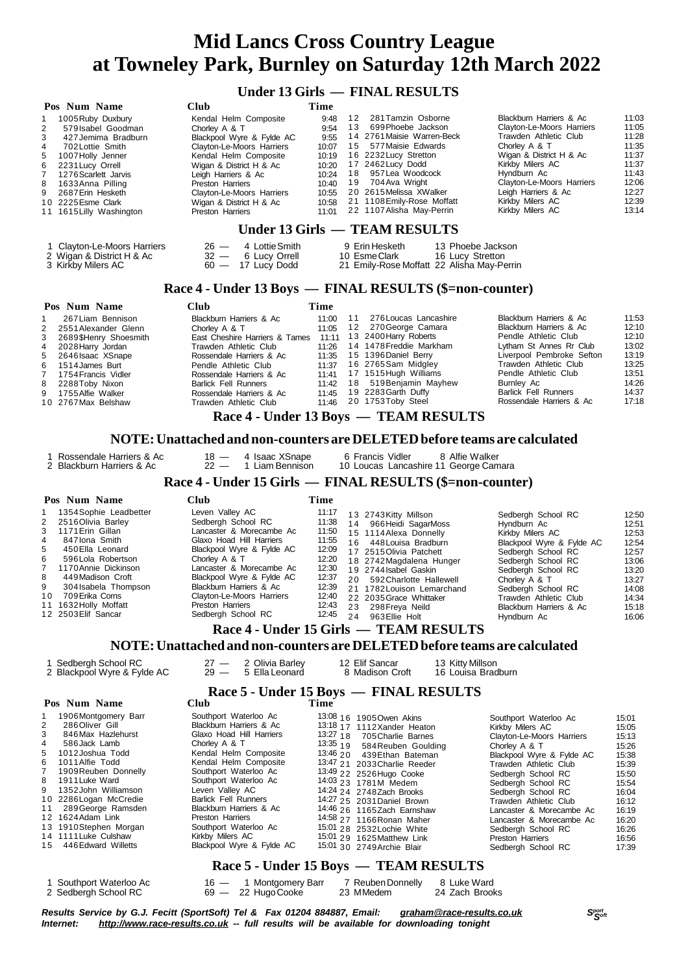### **Under 13 Girls — FINAL RESULTS**

|                                                                                                                                                                                                                                                                                                                                                                                                            |                                                                                                                                                                                                                                                                                                                                                                                      | Under 13 Girls — FINAL RESULTS                                                                                                                                                                                                                                                                                                                                                                                                                                                                                                                                |                                                                                                                                                                                                                                                                                                                                                                                                                                                                                                         |                                                                                                          |  |  |  |  |  |  |
|------------------------------------------------------------------------------------------------------------------------------------------------------------------------------------------------------------------------------------------------------------------------------------------------------------------------------------------------------------------------------------------------------------|--------------------------------------------------------------------------------------------------------------------------------------------------------------------------------------------------------------------------------------------------------------------------------------------------------------------------------------------------------------------------------------|---------------------------------------------------------------------------------------------------------------------------------------------------------------------------------------------------------------------------------------------------------------------------------------------------------------------------------------------------------------------------------------------------------------------------------------------------------------------------------------------------------------------------------------------------------------|---------------------------------------------------------------------------------------------------------------------------------------------------------------------------------------------------------------------------------------------------------------------------------------------------------------------------------------------------------------------------------------------------------------------------------------------------------------------------------------------------------|----------------------------------------------------------------------------------------------------------|--|--|--|--|--|--|
| Pos Num Name<br>1005 Ruby Duxbury<br>1<br>2<br>579 Isabel Goodman<br>3<br>427 Jemima Bradburn<br>4<br>702 Lottie Smith<br>5<br>1007 Holly Jenner<br>6<br>2231 Lucy Orrell<br>7<br>1276 Scarlett Jarvis<br>8<br>1633 Anna Pilling<br>9<br>2687 Erin Hesketh<br>10 2225 Esme Clark<br>11 1615 Lilly Washington<br>1 Clayton-Le-Moors Harriers<br>2 Wigan & District H & Ac<br>3 Kirkby Milers AC             | Club<br>Kendal Helm Composite<br>Chorley A & T<br>Blackpool Wyre & Fylde AC<br>Clayton-Le-Moors Harriers<br>Kendal Helm Composite<br>Wigan & District H & Ac<br>Leigh Harriers & Ac<br>Preston Harriers<br>Clayton-Le-Moors Harriers<br>Wigan & District H & Ac<br>Preston Harriers<br>4 Lottie Smith<br>$26 -$<br>$32 -$<br>6 Lucy Orrell<br>$60 - 17$ Lucy Dodd                    | Time<br>12<br>281 Tamzin Osborne<br>9:48<br>699 Phoebe Jackson<br>13<br>9:54<br>14 2761 Maisie Warren-Beck<br>9:55<br>15 577 Maisie Edwards<br>10:07<br>16 2232 Lucy Stretton<br>10:19<br>17 2462 Lucy Dodd<br>10:20<br>18 957 Lea Woodcock<br>10:24<br>19 704 Ava Wright<br>10:40<br>20 2615 Melissa XWalker<br>10:55<br>21 1108 Emily-Rose Moffatt<br>10:58<br>22 1107 Alisha May-Perrin<br>11:01<br>Under 13 Girls — TEAM RESULTS<br>9 Erin Hesketh<br>13 Phoebe Jackson<br>10 EsmeClark<br>16 Lucy Stretton<br>21 Emily-Rose Moffatt 22 Alisha May-Perrin | Blackburn Harriers & Ac<br>Clayton-Le-Moors Harriers<br>Trawden Athletic Club<br>Chorley A & T<br>Wigan & District H & Ac<br>Kirkby Milers AC<br>Hyndburn Ac<br>Clayton-Le-Moors Harriers<br>Leigh Harriers & Ac<br>Kirkby Milers AC<br>Kirkby Milers AC                                                                                                                                                                                                                                                | 11:03<br>11:05<br>11:28<br>11:35<br>11:37<br>11:37<br>11:43<br>12:06<br>12:27<br>12:39<br>13:14          |  |  |  |  |  |  |
|                                                                                                                                                                                                                                                                                                                                                                                                            |                                                                                                                                                                                                                                                                                                                                                                                      | Race 4 - Under 13 Boys — FINAL RESULTS (\$=non-counter)                                                                                                                                                                                                                                                                                                                                                                                                                                                                                                       |                                                                                                                                                                                                                                                                                                                                                                                                                                                                                                         |                                                                                                          |  |  |  |  |  |  |
| Pos Num Name<br>267 Liam Bennison<br>1<br>2<br>2551 Alexander Glenn<br>3<br>2689\$Henry Shoesmith<br>4<br>2028 Harry Jordan<br>5<br>2646 Isaac XSnape<br>6<br>1514 James Burt<br>7<br>1754 Francis Vidler<br>8<br>2288Toby Nixon<br>9<br>1755 Alfie Walker<br>10 2767 Max Belshaw                                                                                                                          | Club<br>Blackburn Harriers & Ac<br>Chorley A & T<br>East Cheshire Harriers & Tames 11:11<br>Trawden Athletic Club<br>Rossendale Harriers & Ac<br>Pendle Athletic Club<br>Rossendale Harriers & Ac<br><b>Barlick Fell Runners</b><br>Rossendale Harriers & Ac<br>Trawden Athletic Club                                                                                                | Time<br>276 Loucas Lancashire<br>11<br>11:00<br>12 270 George Camara<br>11:05<br>13 2400 Harry Roberts<br>14 1478 Freddie Markham<br>11:26<br>15 1396 Daniel Berry<br>11:35<br>16 2765Sam Midgley<br>11:37<br>17 1515 Hugh Williams<br>11:41<br>18 519 Benjamin Mayhew<br>11:42<br>19 2283 Garth Duffy<br>11:45<br>20 1753Toby Steel<br>11:46                                                                                                                                                                                                                 | Blackburn Harriers & Ac<br>Blackburn Harriers & Ac<br>Pendle Athletic Club<br>Lytham St Annes Rr Club<br>Liverpool Pembroke Sefton<br>Trawden Athletic Club<br>Pendle Athletic Club<br>Burnley Ac<br><b>Barlick Fell Runners</b><br>Rossendale Harriers & Ac                                                                                                                                                                                                                                            | 11:53<br>12:10<br>12:10<br>13:02<br>13:19<br>13:25<br>13:51<br>14:26<br>14:37<br>17:18                   |  |  |  |  |  |  |
| Race 4 - Under 13 Boys - TEAM RESULTS                                                                                                                                                                                                                                                                                                                                                                      |                                                                                                                                                                                                                                                                                                                                                                                      |                                                                                                                                                                                                                                                                                                                                                                                                                                                                                                                                                               |                                                                                                                                                                                                                                                                                                                                                                                                                                                                                                         |                                                                                                          |  |  |  |  |  |  |
|                                                                                                                                                                                                                                                                                                                                                                                                            |                                                                                                                                                                                                                                                                                                                                                                                      | NOTE: Unattached and non-counters are DELETED before teams are calculated                                                                                                                                                                                                                                                                                                                                                                                                                                                                                     |                                                                                                                                                                                                                                                                                                                                                                                                                                                                                                         |                                                                                                          |  |  |  |  |  |  |
| 1 Rossendale Harriers & Ac<br>2 Blackburn Harriers & Ac                                                                                                                                                                                                                                                                                                                                                    | $18 -$<br>4 Isaac XSnape<br>$22 -$<br>1 Liam Bennison                                                                                                                                                                                                                                                                                                                                | 6 Francis Vidler<br>8 Alfie Walker<br>10 Loucas Lancashire 11 George Camara                                                                                                                                                                                                                                                                                                                                                                                                                                                                                   |                                                                                                                                                                                                                                                                                                                                                                                                                                                                                                         |                                                                                                          |  |  |  |  |  |  |
| Race 4 - Under 15 Girls — FINAL RESULTS (\$=non-counter)                                                                                                                                                                                                                                                                                                                                                   |                                                                                                                                                                                                                                                                                                                                                                                      |                                                                                                                                                                                                                                                                                                                                                                                                                                                                                                                                                               |                                                                                                                                                                                                                                                                                                                                                                                                                                                                                                         |                                                                                                          |  |  |  |  |  |  |
| Pos Num Name                                                                                                                                                                                                                                                                                                                                                                                               | Club                                                                                                                                                                                                                                                                                                                                                                                 | Time                                                                                                                                                                                                                                                                                                                                                                                                                                                                                                                                                          |                                                                                                                                                                                                                                                                                                                                                                                                                                                                                                         |                                                                                                          |  |  |  |  |  |  |
| 1354 Sophie Leadbetter<br>1<br>2<br>2516 Olivia Barley<br>3<br>1171 Erin Gillan<br>4<br>847 Iona Smith<br>5<br>450 Ella Leonard<br>6<br>596 Lola Robertson<br>7<br>1170 Annie Dickinson<br>8<br>449 Madison Croft<br>9<br>304 Isabela Thompson<br>10<br>709 Erika Corns<br>11 1632 Holly Moffatt<br>12 2503 Elif Sancar                                                                                    | Leven Valley AC<br>Sedbergh School RC<br>Lancaster & Morecambe Ac<br>Glaxo Hoad Hill Harriers<br>Blackpool Wyre & Fylde AC<br>Chorley A & T<br>Lancaster & Morecambe Ac<br>Blackpool Wyre & Fylde AC<br>Blackburn Harriers & Ac<br>Clayton-Le-Moors Harriers<br>Preston Harriers<br>Sedbergh School RC                                                                               | 11:17<br>13 2743 Kitty Millson<br>11:38<br>14 966 Heidi SagarMoss<br>11:50<br>15 1114 Alexa Donnelly<br>11:55<br>16 448 Louisa Bradburn<br>12:09<br>17 2515 Olivia Patchett<br>12:20<br>18 2742 Magdalena Hunger<br>12:30<br>19 2744 Isabel Gaskin<br>12:37<br>20 592 Charlotte Hallewell<br>12:39<br>21 1782 Louison Lemarchand<br>12:40<br>22 2035 Grace Whittaker<br>12:43<br>23 298 Freya Neild<br>12:45<br>24 963Ellie Holt                                                                                                                              | Sedbergh School RC<br>Hyndburn Ac<br>Kirkby Milers AC<br>Blackpool Wyre & Fylde AC<br>Sedbergh School RC<br>Sedbergh School RC<br>Sedbergh School RC<br>Chorley A & T<br>Sedbergh School RC<br>Trawden Athletic Club<br>Blackburn Harriers & Ac<br>Hyndburn Ac                                                                                                                                                                                                                                          | 12:50<br>12:51<br>12:53<br>12:54<br>12:57<br>13:06<br>13:20<br>13:27<br>14:08<br>14:34<br>15:18<br>16:06 |  |  |  |  |  |  |
|                                                                                                                                                                                                                                                                                                                                                                                                            |                                                                                                                                                                                                                                                                                                                                                                                      | Race 4 - Under 15 Girls — TEAM RESULTS                                                                                                                                                                                                                                                                                                                                                                                                                                                                                                                        |                                                                                                                                                                                                                                                                                                                                                                                                                                                                                                         |                                                                                                          |  |  |  |  |  |  |
|                                                                                                                                                                                                                                                                                                                                                                                                            |                                                                                                                                                                                                                                                                                                                                                                                      | NOTE: Unattached and non-counters are DELETED before teams are calculated                                                                                                                                                                                                                                                                                                                                                                                                                                                                                     |                                                                                                                                                                                                                                                                                                                                                                                                                                                                                                         |                                                                                                          |  |  |  |  |  |  |
| 1 Sedbergh School RC<br>2 Blackpool Wyre & Fylde AC                                                                                                                                                                                                                                                                                                                                                        | 2 Olivia Barley<br>$27 -$<br>$29 -$<br>5 Ella Leonard                                                                                                                                                                                                                                                                                                                                | 12 Elif Sancar<br>13 Kitty Millson<br>8 Madison Croft<br>16 Louisa Bradburn                                                                                                                                                                                                                                                                                                                                                                                                                                                                                   |                                                                                                                                                                                                                                                                                                                                                                                                                                                                                                         |                                                                                                          |  |  |  |  |  |  |
|                                                                                                                                                                                                                                                                                                                                                                                                            |                                                                                                                                                                                                                                                                                                                                                                                      | Race 5 - Under 15 Boys — FINAL RESULTS                                                                                                                                                                                                                                                                                                                                                                                                                                                                                                                        |                                                                                                                                                                                                                                                                                                                                                                                                                                                                                                         |                                                                                                          |  |  |  |  |  |  |
| Pos Num Name<br>1906Montgomery Barr<br>1<br>2<br>286 Oliver Gill<br>3<br>846 Max Hazlehurst<br>586 Jack Lamb<br>4<br>5<br>1012 Joshua Todd<br>6<br>1011 Alfie Todd<br>7<br>1909Reuben Donnelly<br>1911 Luke Ward<br>8<br>1352John Williamson<br>9<br>10 2286 Logan McCredie<br>289 George Ramsden<br>11<br>12 1624 Adam Link<br>13 1910Stephen Morgan<br>14 1111 Luke Culshaw<br>446 Edward Willetts<br>15 | Club<br>Southport Waterloo Ac<br>Blackburn Harriers & Ac<br>Glaxo Hoad Hill Harriers<br>Chorley A & T<br>Kendal Helm Composite<br>Kendal Helm Composite<br>Southport Waterloo Ac<br>Southport Waterloo Ac<br>Leven Valley AC<br><b>Barlick Fell Runners</b><br>Blackburn Harriers & Ac<br>Preston Harriers<br>Southport Waterloo Ac<br>Kirkby Milers AC<br>Blackpool Wyre & Fylde AC | Time<br>13:08 16 1905 Owen Akins<br>13:18 17 1112Xander Heaton<br>13:27 18<br>705 Charlie Barnes<br>13:35 1 9<br>584 Reuben Goulding<br>13:46 20 439 Ethan Bateman<br>13:47 21 2033 Charlie Reeder<br>13:49 22 2526 Hugo Cooke<br>14.03 23 1781M Medem<br>14:24 24 2748Zach Brooks<br>14:27 25 2031 Daniel Brown<br>14.46 26 1165Zach Earnshaw<br>14.58 27 1166 Ronan Maher<br>15:01 28 2532 Lochie White<br>15.01 29 1625 Matthew Link<br>15:01 30 2749 Archie Blair                                                                                         | Southport Waterloo Ac<br>15:01<br>Kirkby Milers AC<br>15:05<br>Clayton-Le-Moors Harriers<br>15:13<br>Chorley A & T<br>15:26<br>Blackpool Wyre & Fylde AC<br>15:38<br>Trawden Athletic Club<br>15:39<br>Sedbergh School RC<br>15:50<br>Sedbergh School RC<br>15:54<br>Sedbergh School RC<br>16:04<br>Trawden Athletic Club<br>16:12<br>Lancaster & Morecambe Ac<br>16:19<br>Lancaster & Morecambe Ac<br>16:20<br>Sedbergh School RC<br>16:26<br>Preston Harriers<br>16:56<br>Sedbergh School RC<br>17:39 |                                                                                                          |  |  |  |  |  |  |
|                                                                                                                                                                                                                                                                                                                                                                                                            |                                                                                                                                                                                                                                                                                                                                                                                      | Race 5 - Under 15 Boys — TEAM RESULTS                                                                                                                                                                                                                                                                                                                                                                                                                                                                                                                         |                                                                                                                                                                                                                                                                                                                                                                                                                                                                                                         |                                                                                                          |  |  |  |  |  |  |
| 1 Southport Waterloo Ac<br>2 Sedbergh School RC                                                                                                                                                                                                                                                                                                                                                            | 1 Montgomery Barr<br>$16 -$<br>$69 -$<br>22 Hugo Cooke                                                                                                                                                                                                                                                                                                                               | 7 Reuben Donnelly<br>8 Luke Ward<br>23 MMedem<br>24 Zach Brooks                                                                                                                                                                                                                                                                                                                                                                                                                                                                                               |                                                                                                                                                                                                                                                                                                                                                                                                                                                                                                         |                                                                                                          |  |  |  |  |  |  |

Results Service by G.J. Fecitt (SportSoft) Tel & Fax 01204 884887, Email: <u>[graham@race-results.co.uk](mailto:graham@race-results.co.uk)</u> S<sup>oon</sup><br>Internet: <u><http://www.race-results.co.uk></u> -- full results will be available for downloading tonight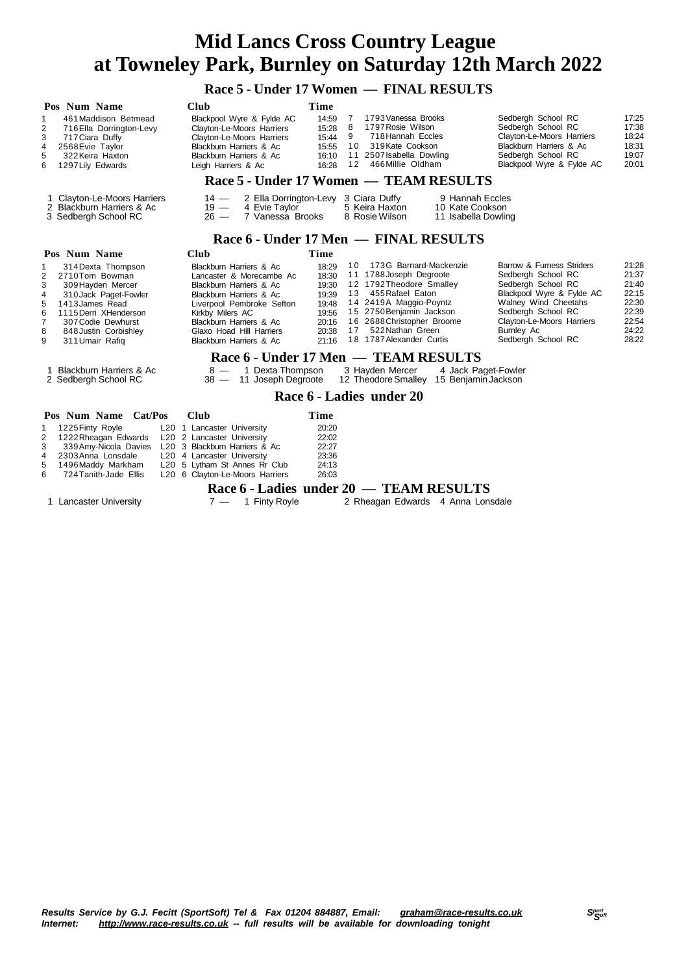#### **Race 5 - Under 17 Women — FINAL RESULTS**

| Pos Num Name<br>461 Maddison Betmead<br>1<br>2<br>716 Ella Dorrington-Levy<br>3<br>717 Ciara Duffy<br>2568 Evie Taylor<br>4<br>5<br>322 Keira Haxton<br>1297 Lily Edwards<br>6                                                                                                               | <b>Club</b><br>Blackpool Wyre & Fylde AC<br>Clayton-Le-Moors Harriers<br>Clayton-Le-Moors Harriers<br>Blackburn Harriers & Ac<br>Blackburn Harriers & Ac<br>Leigh Harriers & Ac                                                              | Time<br>14:59<br>15:28<br>15:44<br>15:55<br>16:10<br>16:28                    | 1793 Vanessa Brooks<br>7<br>1797 Rosie Wilson<br>8<br>9<br>718 Hannah Eccles<br>10 319 Kate Cookson<br>11<br>2507 Isabella Dowling<br>466 Millie Oldham<br>12                                                                                           | Sedbergh School RC<br>Sedbergh School RC<br>Clayton-Le-Moors Harriers<br>Blackburn Harriers & Ac<br>Sedbergh School RC<br>Blackpool Wyre & Fylde AC                                                               | 17:25<br>17:38<br>18:24<br>18:31<br>19:07<br>20:01                            |  |  |  |  |
|----------------------------------------------------------------------------------------------------------------------------------------------------------------------------------------------------------------------------------------------------------------------------------------------|----------------------------------------------------------------------------------------------------------------------------------------------------------------------------------------------------------------------------------------------|-------------------------------------------------------------------------------|---------------------------------------------------------------------------------------------------------------------------------------------------------------------------------------------------------------------------------------------------------|-------------------------------------------------------------------------------------------------------------------------------------------------------------------------------------------------------------------|-------------------------------------------------------------------------------|--|--|--|--|
| Race 5 - Under 17 Women — TEAM RESULTS                                                                                                                                                                                                                                                       |                                                                                                                                                                                                                                              |                                                                               |                                                                                                                                                                                                                                                         |                                                                                                                                                                                                                   |                                                                               |  |  |  |  |
| 1 Clayton-Le-Moors Harriers<br>2 Ella Dorrington-Levy 3 Ciara Duffy<br>9 Hannah Eccles<br>$14 -$<br>2 Blackburn Harriers & Ac<br>4 Evie Taylor<br>5 Keira Haxton<br>$19 -$<br>10 Kate Cookson<br>$26 -$<br>7 Vanessa Brooks<br>3 Sedbergh School RC<br>8 Rosie Wilson<br>11 Isabella Dowling |                                                                                                                                                                                                                                              |                                                                               |                                                                                                                                                                                                                                                         |                                                                                                                                                                                                                   |                                                                               |  |  |  |  |
| Race 6 - Under 17 Men — FINAL RESULTS                                                                                                                                                                                                                                                        |                                                                                                                                                                                                                                              |                                                                               |                                                                                                                                                                                                                                                         |                                                                                                                                                                                                                   |                                                                               |  |  |  |  |
| Pos Num Name                                                                                                                                                                                                                                                                                 | <b>Club</b>                                                                                                                                                                                                                                  | <b>Time</b>                                                                   |                                                                                                                                                                                                                                                         |                                                                                                                                                                                                                   |                                                                               |  |  |  |  |
| 314 Dexta Thompson<br>2<br>2710Tom Bowman<br>3<br>309 Hayden Mercer<br>310 Jack Paget-Fowler<br>4<br>1413 James Read<br>5<br>1115 Derri XHenderson<br>6<br>7<br>307 Codie Dewhurst<br>8<br>848 Justin Corbishley<br>9<br>311 Umair Rafig                                                     | Blackburn Harriers & Ac<br>Lancaster & Morecambe Ac<br>Blackburn Harriers & Ac<br>Blackburn Harriers & Ac<br>Liverpool Pembroke Sefton<br>Kirkby Milers AC<br>Blackburn Harriers & Ac<br>Glaxo Hoad Hill Harriers<br>Blackburn Harriers & Ac | 18:29<br>18:30<br>19:30<br>19:39<br>19:48<br>19:56<br>20:16<br>20:38<br>21:16 | 173G Barnard-Mackenzie<br>10<br>11 1788 Joseph Degroote<br>12 1792 Theodore Smalley<br>455 Rafael Eaton<br>13<br>14 2419A Maggio-Poyntz<br>15 2750 Benjamin Jackson<br>16 2688 Christopher Broome<br>522 Nathan Green<br>17<br>18 1787 Alexander Curtis | Barrow & Furness Striders<br>Sedbergh School RC<br>Sedbergh School RC<br>Blackpool Wyre & Fylde AC<br>Walney Wind Cheetahs<br>Sedbergh School RC<br>Clayton-Le-Moors Harriers<br>Burnley Ac<br>Sedbergh School RC | 21:28<br>21:37<br>21:40<br>22:15<br>22:30<br>22:39<br>22:54<br>24:22<br>28:22 |  |  |  |  |
| <b>Blackburn Harriers &amp; Ac</b><br>1<br>2 Sedbergh School RC                                                                                                                                                                                                                              | 1 Dexta Thompson<br>$8 -$<br>11 Joseph Degroote<br>$38 -$                                                                                                                                                                                    |                                                                               | Race 6 - Under 17 Men — TEAM RESULTS<br>3 Hayden Mercer<br>4 Jack Paget-Fowler<br>12 Theodore Smalley 15 Benjamin Jackson                                                                                                                               |                                                                                                                                                                                                                   |                                                                               |  |  |  |  |
|                                                                                                                                                                                                                                                                                              |                                                                                                                                                                                                                                              |                                                                               | Race 6 - Ladies under 20                                                                                                                                                                                                                                |                                                                                                                                                                                                                   |                                                                               |  |  |  |  |
| Pos Num Name<br>Cat/Pos                                                                                                                                                                                                                                                                      | Club                                                                                                                                                                                                                                         | Time                                                                          |                                                                                                                                                                                                                                                         |                                                                                                                                                                                                                   |                                                                               |  |  |  |  |
| 1225 Finty Royle<br>1<br>2<br>1222 Rheagan Edwards<br>339 Amy-Nicola Davies<br>3<br>2303 Anna Lonsdale<br>4<br>5<br>1496Maddy Markham<br>6<br>724 Tanith-Jade Ellis                                                                                                                          | L <sub>20</sub> 1 Lancaster University<br>L20 2 Lancaster University<br>L20 3 Blackburn Harriers & Ac<br>L20 4 Lancaster University<br>L20 5 Lytham St Annes Rr Club<br>L20 6 Clayton-Le-Moors Harriers                                      | 20:20<br>22:02<br>22:27<br>23:36<br>24:13<br>26:03                            |                                                                                                                                                                                                                                                         |                                                                                                                                                                                                                   |                                                                               |  |  |  |  |

**Race 6 - Ladies under 20 — TEAM RESULTS**<br>  $7 - 1$  Finty Royle 2 Rheagan Edwards 4 Anna Lons

Results Service by G.J. Fecitt (SportSoft) Tel & Fax 01204 884887, Email: [graham@race-results.co.uk](mailto:graham@race-results.co.uk)<br>Internet: http://www.race-results.co.uk -- full results will be available for downloading tonight *Internet: <http://www.race-results.co.uk> -- full results will be available for downloading tonight*

1 Lancaster University 7 — 1 Finty Royle 2 Rheagan Edwards 4 Anna Lonsdale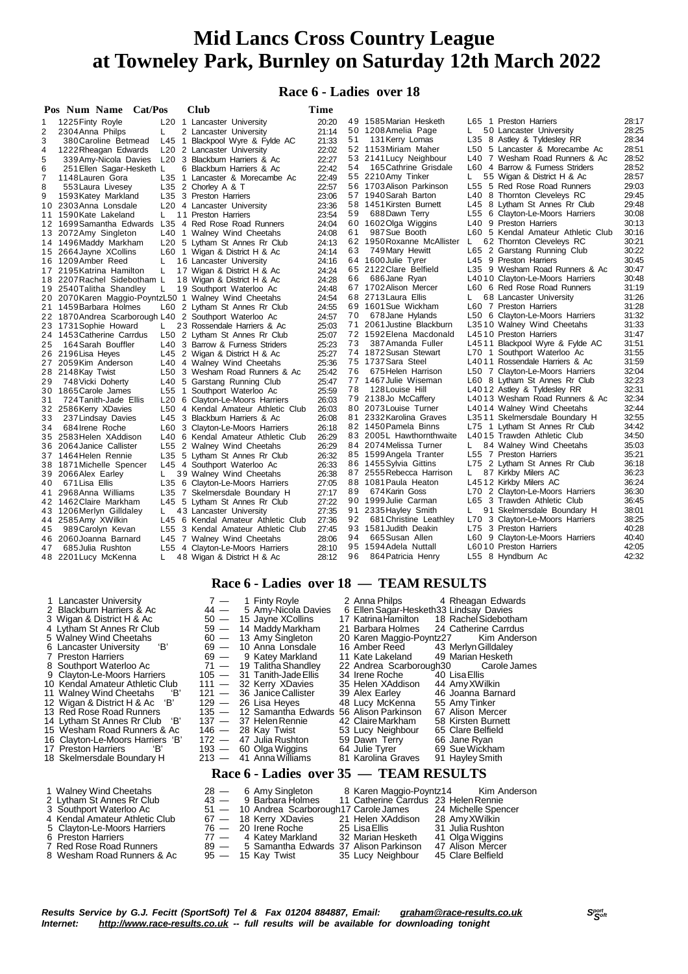#### **Race 6 - Ladies over 18**

|    | Pos Num Name Cat/Pos                                   |       | <b>Club</b>                            | Time  |    |                            |    |                                    |       |
|----|--------------------------------------------------------|-------|----------------------------------------|-------|----|----------------------------|----|------------------------------------|-------|
| 1  | 1225 Finty Royle                                       |       | L <sub>20</sub> 1 Lancaster University | 20:20 |    | 49 1585 Marian Hesketh     |    | L65 1 Preston Harriers             | 28:17 |
| 2  | 2304 Anna Philps                                       | L     | 2 Lancaster University                 | 21:14 |    | 50 1208 Amelia Page        | L. | 50 Lancaster University            | 28:25 |
| 3  | 380 Caroline Betmead                                   | L45 1 | Blackpool Wyre & Fylde AC              | 21:33 | 51 | 131 Kerry Lomas            |    | L35 8 Astley & Tyldesley RR        | 28:34 |
| 4  | 1222 Rheagan Edwards                                   |       | L20 2 Lancaster University             | 22:02 |    | 52 1153 Miriam Maher       |    | L50 5 Lancaster & Morecambe Ac     | 28:51 |
| 5  | 339 Amy-Nicola Davies                                  |       | L20 3 Blackburn Harriers & Ac          | 22:27 |    | 53 2141 Lucy Neighbour     |    | L40 7 Wesham Road Runners & Ac     | 28:52 |
| 6  | 251 Ellen Sagar-Hesketh L                              |       | 6 Blackburn Harriers & Ac              | 22:42 | 54 | 165 Cathrine Grisdale      |    | L60 4 Barrow & Furness Striders    | 28:52 |
| 7  | 1148 Lauren Gora                                       |       | L35 1 Lancaster & Morecambe Ac         | 22:49 |    | 55 2210 Amy Tinker         | L. | 55 Wigan & District H & Ac         | 28:57 |
| 8  | 553 Laura Livesey                                      |       | L35 2 Chorley A & T                    | 22:57 |    | 56 1703 Alison Parkinson   |    | L55 5 Red Rose Road Runners        | 29:03 |
| 9  | 1593 Katey Markland                                    |       | L35 3 Preston Harriers                 | 23:06 |    | 57 1940 Sarah Barton       |    | L40 8 Thornton Cleveleys RC        | 29:45 |
|    | 10 2303 Anna Lonsdale                                  |       | L <sub>20</sub> 4 Lancaster University | 23:36 |    | 58 1451 Kirsten Burnett    |    | L45 8 Lytham St Annes Rr Club      | 29:48 |
|    | 11 1590 Kate Lakeland                                  | L.    | 11 Preston Harriers                    | 23:54 | 59 | 688Dawn Terry              |    | L55 6 Clayton-Le-Moors Harriers    | 30:08 |
|    | 12 1699 Samantha Edwards                               |       | L35 4 Red Rose Road Runners            | 24:04 |    | 60 1602 Olga Wiggins       |    | L40 9 Preston Harriers             | 30:13 |
|    | 13 2072 Amy Singleton                                  |       | L40 1 Walney Wind Cheetahs             | 24:08 | 61 | 987 Sue Booth              |    | L60 5 Kendal Amateur Athletic Club | 30:16 |
|    | 14 1496 Maddy Markham                                  |       | L20 5 Lytham St Annes Rr Club          | 24:13 |    | 62 1950 Roxanne McAllister | L  | 62 Thornton Cleveleys RC           | 30:21 |
|    | 15 2664 Jayne XCollins                                 |       | L60 1 Wigan & District H & Ac          | 24:14 | 63 | 749 Mary Hewitt            |    | L65 2 Garstang Running Club        | 30:22 |
|    | 16 1209 Amber Reed                                     |       | 16 Lancaster University                | 24:16 |    | 64 1600 Julie Tyrer        |    | L45 9 Preston Harriers             | 30:45 |
|    | 17 2195 Katrina Hamilton                               | L     | 17 Wigan & District H & Ac             | 24:24 |    | 65 2122 Clare Belfield     |    | L35 9 Wesham Road Runners & Ac     | 30:47 |
|    | 18 2207 Rachel Sidebotham L                            |       | 18 Wigan & District H & Ac             | 24:28 | 66 | 686Jane Ryan               |    | L4010 Clayton-Le-Moors Harriers    | 30:48 |
|    | 19 2540 Talitha Shandley                               | L     | 19 Southport Waterloo Ac               | 24:48 |    | 67 1702 Alison Mercer      |    | L60 6 Red Rose Road Runners        | 31:19 |
|    | 20 2070Karen Maggio-PoyntzL50 1 Walney Wind Cheetahs   |       |                                        | 24:54 |    | 68 2713 Laura Ellis        | L. | 68 Lancaster University            | 31:26 |
|    | 21 1459 Barbara Holmes                                 |       | L60 2 Lytham St Annes Rr Club          | 24:55 |    | 69 1601 Sue Wickham        |    | L60 7 Preston Harriers             | 31:28 |
|    | 22 1870 Andrea Scarborough L40 2 Southport Waterloo Ac |       |                                        | 24:57 | 70 | 678 Jane Hylands           |    | L50 6 Clayton-Le-Moors Harriers    | 31:32 |
|    | 23 1731 Sophie Howard                                  | L.    | 23 Rossendale Harriers & Ac            | 25:03 | 71 | 2061 Justine Blackburn     |    | L3510 Walney Wind Cheetahs         | 31:33 |
|    | 24 1453 Catherine Carrdus                              |       | L50 2 Lytham St Annes Rr Club          | 25:07 |    | 72 1592 Elena Macdonald    |    | L4510 Preston Harriers             | 31:47 |
| 25 | 164 Sarah Bouffler                                     |       | L40 3 Barrow & Furness Striders        | 25:23 | 73 | 387 Amanda Fuller          |    | L4511 Blackpool Wyre & Fylde AC    | 31:51 |
|    | 26 2196 Lisa Heyes                                     |       | L45 2 Wigan & District H & Ac          | 25:27 |    | 74 1872 Susan Stewart      |    | L70 1 Southport Waterloo Ac        | 31:55 |
|    | 27 2059 Kim Anderson                                   |       | L40 4 Walney Wind Cheetahs             | 25:36 |    | 75 1737 Sara Steel         |    | L4011 Rossendale Harriers & Ac     | 31:59 |
|    | 28 2148 Kay Twist                                      |       | L50 3 Wesham Road Runners & Ac         | 25:42 | 76 | 675 Helen Harrison         |    | L50 7 Clayton-Le-Moors Harriers    | 32:04 |
| 29 | 748 Vicki Doherty                                      |       | L40 5 Garstang Running Club            | 25:47 |    | 77 1467 Julie Wiseman      |    | L60 8 Lytham St Annes Rr Club      | 32:23 |
|    | 30 1865 Carole James                                   |       | L55 1 Southport Waterloo Ac            | 25:59 | 78 | 128 Louise Hill            |    | L4012 Astley & Tyldesley RR        | 32:31 |
| 31 | 724 Tanith-Jade Ellis                                  |       | L20 6 Clayton-Le-Moors Harriers        | 26:03 |    | 79 2138Jo McCaffery        |    | L4013 Wesham Road Runners & Ac     | 32:34 |
|    | 32 2586 Kerry XDavies                                  |       | L50 4 Kendal Amateur Athletic Club     | 26:03 |    | 80 2073 Louise Turner      |    | L4014 Walney Wind Cheetahs         | 32:44 |
| 33 | 237 Lindsay Davies                                     |       | L45 3 Blackburn Harriers & Ac          | 26:08 |    | 81 2332 Karolina Graves    |    | L3511 Skelmersdale Boundary H      | 32:55 |
| 34 | 684 Irene Roche                                        |       | L60 3 Clayton-Le-Moors Harriers        | 26:18 |    | 82 1450 Pamela Binns       |    | L75 1 Lytham St Annes Rr Club      | 34:42 |
|    | 35 2583 Helen XAddison                                 |       | L40 6 Kendal Amateur Athletic Club     | 26:29 |    | 83 2005L Hawthornthwaite   |    | L4015 Trawden Athletic Club        | 34:50 |
|    | 36 2064 Janice Callister                               |       | L55 2 Walney Wind Cheetahs             | 26:29 |    | 84 2074 Melissa Turner     | L. | 84 Walney Wind Cheetahs            | 35:03 |
|    | 37 1464Helen Rennie                                    |       | L35 5 Lytham St Annes Rr Club          | 26:32 |    | 85 1599 Angela Tranter     |    | L55 7 Preston Harriers             | 35:21 |
|    | 38 1871 Michelle Spencer                               |       | L45 4 Southport Waterloo Ac            | 26:33 |    | 86 1455 Sylvia Gittins     |    | L75 2 Lytham St Annes Rr Club      | 36:18 |
|    | 39 2066 Alex Earley                                    | L.    | 39 Walney Wind Cheetahs                | 26:38 |    | 87 2555 Rebecca Harrison   | L. | 87 Kirkby Milers AC                | 36:23 |
| 40 | 671 Lisa Ellis                                         |       | L35 6 Clayton-Le-Moors Harriers        | 27:05 |    | 88 1081 Paula Heaton       |    | L4512 Kirkby Milers AC             | 36:24 |
| 41 | 2968 Anna Williams                                     |       | L35 7 Skelmersdale Boundary H          | 27:17 | 89 | 674 Karin Goss             |    | L70 2 Clayton-Le-Moors Harriers    | 36:30 |
|    | 42 1462 Claire Markham                                 |       | L45 5 Lytham St Annes Rr Club          | 27:22 |    | 90 1999 Julie Carman       |    | L65 3 Trawden Athletic Club        | 36:45 |
|    | 43 1206 Merlyn Gilldaley                               | L.    | 43 Lancaster University                | 27:35 |    | 91 2335 Hayley Smith       | L. | 91 Skelmersdale Boundary H         | 38:01 |
|    | 44 2585 Amy XWilkin                                    |       | L45 6 Kendal Amateur Athletic Club     | 27:36 | 92 | 681 Christine Leathley     |    | L70 3 Clayton-Le-Moors Harriers    | 38:25 |
| 45 | 989 Carolyn Kevan                                      |       | L55 3 Kendal Amateur Athletic Club     | 27:45 |    | 93 1581 Judith Deakin      |    | L75 3 Preston Harriers             | 40:28 |
|    | 46 2060Joanna Barnard                                  |       | L45 7 Walney Wind Cheetahs             | 28:06 | 94 | 665 Susan Allen            |    | L60 9 Clayton-Le-Moors Harriers    | 40:40 |
| 47 | 685 Julia Rushton                                      |       | L55 4 Clayton-Le-Moors Harriers        | 28:10 |    | 95 1594 Adela Nuttall      |    | L6010 Preston Harriers             | 42:05 |
|    | 48 2201 Lucy McKenna                                   | L     | 48 Wigan & District H & Ac             | 28:12 | 96 | 864 Patricia Henry         |    | L55 8 Hyndburn Ac                  | 42:32 |
|    |                                                        |       |                                        |       |    |                            |    |                                    |       |

#### **Race 6 - Ladies over 18 — TEAM RESULTS**

| 1 Lancaster University            | $7 -$                          | 1 Finty Royle                                 | 2 Anna Philps                          | 4 Rheagan Edwards    |
|-----------------------------------|--------------------------------|-----------------------------------------------|----------------------------------------|----------------------|
| 2 Blackburn Harriers & Ac         | $44 -$                         | 5 Amy-Nicola Davies                           | 6 Ellen Sagar-Hesketh33 Lindsay Davies |                      |
| 3 Wigan & District H & Ac         | $50 -$                         | 15 Jayne XCollins                             | 17 Katrina Hamilton                    | 18 Rachel Sidebotham |
| 4 Lytham St Annes Rr Club         |                                | 59 - 14 Maddy Markham                         | 21 Barbara Holmes                      | 24 Catherine Carrdus |
| 5 Walney Wind Cheetahs            | $60 -$                         | 13 Amy Singleton                              | 20 Karen Maggio-Poyntz27               | Kim Anderson         |
| 'B'<br>6 Lancaster University     | $69 -$                         | 10 Anna Lonsdale                              | 16 Amber Reed                          | 43 Merlyn Gilldaley  |
| 7 Preston Harriers                | $69 -$                         | 9 Katey Markland                              | 11 Kate Lakeland                       | 49 Marian Hesketh    |
| 8 Southport Waterloo Ac           | $71 -$                         | 19 Talitha Shandley                           | 22 Andrea Scarborough30                | Carole James         |
| 9 Clayton-Le-Moors Harriers       | $105 -$                        | 31 Tanith-Jade Ellis                          | 34 Irene Roche                         | 40 Lisa Ellis        |
| 10 Kendal Amateur Athletic Club   | $111 -$                        | 32 Kerry XDavies                              | 35 Helen XAddison                      | 44 Amy XWilkin       |
| 11 Walney Wind Cheetahs<br>'B'    | $121 -$                        | 36 Janice Callister                           | 39 Alex Earley                         | 46 Joanna Barnard    |
| 'В'<br>12 Wigan & District H & Ac | 129 —                          | 26 Lisa Heyes                                 | 48 Lucy McKenna                        | 55 Amy Tinker        |
| 13 Red Rose Road Runners          |                                | 135 - 12 Samantha Edwards 56 Alison Parkinson |                                        | 67 Alison Mercer     |
| 14 Lytham St Annes Rr Club 'B'    | $137 -$                        | 37 Helen Rennie                               | 42 Claire Markham                      | 58 Kirsten Burnett   |
| 15 Wesham Road Runners & Ac       |                                | $146 - 28$ Kay Twist                          | 53 Lucy Neighbour                      | 65 Clare Belfield    |
| 16 Clayton-Le-Moors Harriers 'B'  | $172 -$                        | 47 Julia Rushton                              | 59 Dawn Terry                          | 66 Jane Ryan         |
| 17 Preston Harriers<br>ʻBʻ        | $193 -$                        | 60 Olga Wiggins                               | 64 Julie Tyrer                         | 69 Sue Wickham       |
| 18 Skelmersdale Boundary H        | $213 -$                        | 41 Anna Williams                              | 81 Karolina Graves                     | 91 Hayley Smith      |
|                                   |                                |                                               |                                        |                      |
|                                   |                                | Race 6 - Ladies over 35 — TEAM RESULTS        |                                        |                      |
| 1 Walney Wind Cheetahs            |                                | $28 - 6$ Amy Singleton                        | 8 Karen Maggio-Poyntz14                | Kim Anderson         |
| 2 Lytham St Annes Rr Club         | $43 -$                         | 9 Barbara Holmes                              | 11 Catherine Carrdus 23 Helen Rennie   |                      |
| 3 Southport Waterloo Ac           | 51<br>$\overline{\phantom{0}}$ | 10 Andrea Scarborough17 Carole James          |                                        | 24 Michelle Spencer  |
| 4 Kendal Amateur Athletic Club    | 67 —                           | 18 Kerry XDavies                              | 21 Helen XAddison                      | 28 Amy XWilkin       |
| 5 Clayton-Le-Moors Harriers       | 76 —                           | 20 Irene Roche                                | 25 Lisa Ellis                          | 31 Julia Rushton     |
| 6 Preston Harriers                | $77 -$                         | 4 Katey Markland                              | 32 Marian Hesketh                      | 41 Olga Wiggins      |
| 7 Red Rose Road Runners           | $89 -$                         | 5 Samantha Edwards 37 Alison Parkinson        |                                        | 47 Alison Mercer     |
| 8 Wesham Road Runners & Ac        | $95 -$                         | 15 Kay Twist                                  | 35 Lucy Neighbour                      | 45 Clare Belfield    |
|                                   |                                |                                               |                                        |                      |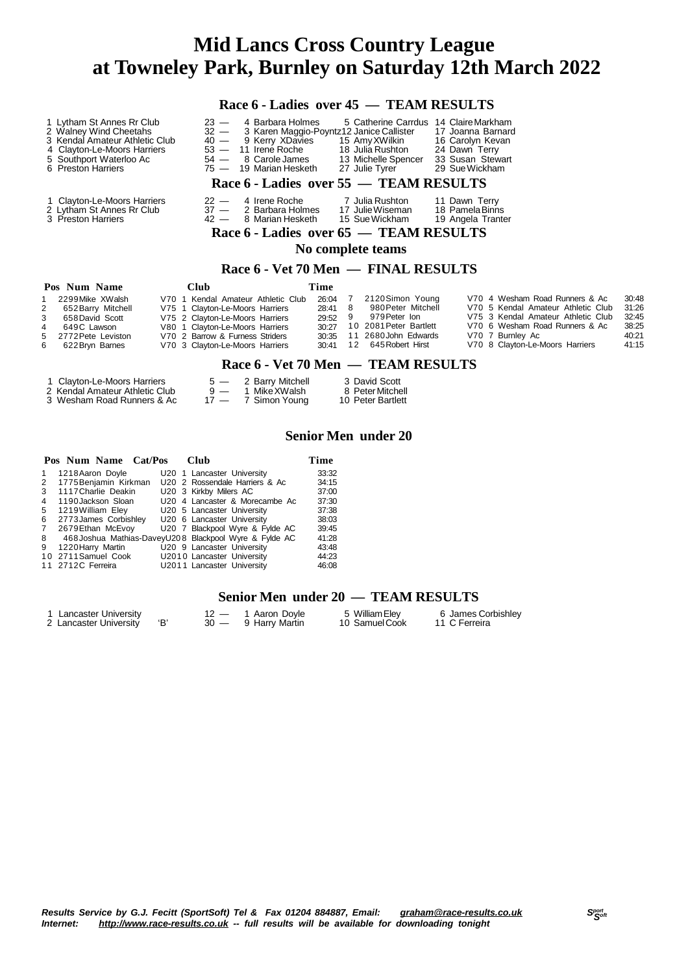|                  |                                                                                                                                                                       |                                                                                                                                                                             |                            |                                                                                                                                               |                                                    |                             | Race 6 - Ladies over 45 — TEAM RESULTS                                                                                       |  |                                                                                                                                                                                                     |                                                    |
|------------------|-----------------------------------------------------------------------------------------------------------------------------------------------------------------------|-----------------------------------------------------------------------------------------------------------------------------------------------------------------------------|----------------------------|-----------------------------------------------------------------------------------------------------------------------------------------------|----------------------------------------------------|-----------------------------|------------------------------------------------------------------------------------------------------------------------------|--|-----------------------------------------------------------------------------------------------------------------------------------------------------------------------------------------------------|----------------------------------------------------|
|                  | 1 Lytham St Annes Rr Club<br>2 Walney Wind Cheetahs<br>3 Kendal Amateur Athletic Club<br>4 Clayton-Le-Moors Harriers<br>5 Southport Waterloo Ac<br>6 Preston Harriers | $23 -$<br>$40 -$<br>$54 -$                                                                                                                                                  | $53 -$<br>75 —             | 4 Barbara Holmes<br>32 - 3 Karen Maggio-Poyntz12 Janice Callister<br>9 Kerry XDavies<br>11 Irene Roche<br>8 Carole James<br>19 Marian Hesketh |                                                    |                             | 5 Catherine Carrdus 14 Claire Markham<br>15 AmyXWilkin<br>18 Julia Rushton<br>13 Michelle Spencer<br>27 Julie Tyrer          |  | 17 Joanna Barnard<br>16 Carolyn Kevan<br>24 Dawn Terry<br>33 Susan Stewart<br>29 Sue Wickham                                                                                                        |                                                    |
|                  | Race 6 - Ladies over 55 — TEAM RESULTS                                                                                                                                |                                                                                                                                                                             |                            |                                                                                                                                               |                                                    |                             |                                                                                                                              |  |                                                                                                                                                                                                     |                                                    |
|                  | 1 Clayton-Le-Moors Harriers<br>2 Lytham St Annes Rr Club<br>3 Preston Harriers                                                                                        |                                                                                                                                                                             | $22 -$<br>$37 -$<br>$42 -$ | 4 Irene Roche<br>2 Barbara Holmes<br>8 Marian Hesketh                                                                                         |                                                    |                             | 7 Julia Rushton<br>17 Julie Wiseman<br>15 Sue Wickham<br>Race 6 - Ladies over 65 — TEAM RESULTS<br>No complete teams         |  | 11 Dawn Terry<br>18 Pamela Binns<br>19 Angela Tranter                                                                                                                                               |                                                    |
|                  |                                                                                                                                                                       |                                                                                                                                                                             |                            |                                                                                                                                               |                                                    |                             | Race 6 - Vet 70 Men — FINAL RESULTS                                                                                          |  |                                                                                                                                                                                                     |                                                    |
|                  | Pos Num Name                                                                                                                                                          | <b>Club</b>                                                                                                                                                                 |                            |                                                                                                                                               | Time                                               |                             |                                                                                                                              |  |                                                                                                                                                                                                     |                                                    |
| 1<br>3<br>5<br>6 | 2299 Mike XWalsh<br>652 Barry Mitchell<br>658 David Scott<br>649C Lawson<br>2772 Pete Leviston<br>622 Bryn Barnes                                                     | V75 1 Clayton-Le-Moors Harriers<br>V75 2 Clayton-Le-Moors Harriers<br>V80 1 Clayton-Le-Moors Harriers<br>V70 2 Barrow & Furness Striders<br>V70 3 Clayton-Le-Moors Harriers |                            | V70 1 Kendal Amateur Athletic Club                                                                                                            | 26:04<br>28:41<br>29.52<br>30:27<br>30:35<br>30:41 | $7^{\circ}$<br>8<br>9<br>12 | 2120Simon Young<br>980 Peter Mitchell<br>979 Peter Ion<br>10 2081 Peter Bartlett<br>11 2680 John Edwards<br>645 Robert Hirst |  | V70 4 Wesham Road Runners & Ac<br>V70 5 Kendal Amateur Athletic Club<br>V75 3 Kendal Amateur Athletic Club<br>V70 6 Wesham Road Runners & Ac<br>V70 7 Burnley Ac<br>V70 8 Clayton-Le-Moors Harriers | 30:48<br>31:26<br>32:45<br>38:25<br>40:21<br>41:15 |
|                  |                                                                                                                                                                       |                                                                                                                                                                             |                            |                                                                                                                                               |                                                    |                             | Race 6 - Vet 70 Men — TEAM RESULTS                                                                                           |  |                                                                                                                                                                                                     |                                                    |
|                  | 1 Clayton-Le-Moors Harriers                                                                                                                                           |                                                                                                                                                                             |                            | 5 — 2 Barry Mitchell                                                                                                                          |                                                    |                             | 3 David Scott                                                                                                                |  |                                                                                                                                                                                                     |                                                    |

| <b>URIQUE LO MOULS HATTLETS</b> | L DUITY IVINGITUM  | u bana occa       |
|---------------------------------|--------------------|-------------------|
| 2 Kendal Amateur Athletic Club  | 9 — 1 Mike XWalsh  | 8 Peter Mitchell  |
| 3 Wesham Road Runners & Ac      | 17 - 7 Simon Young | 10 Peter Bartlett |

#### **Senior Men under 20**

|                       |                                                                                        |                      | Time                                                                                                                                                                                                                                                                                                                                                                                |
|-----------------------|----------------------------------------------------------------------------------------|----------------------|-------------------------------------------------------------------------------------------------------------------------------------------------------------------------------------------------------------------------------------------------------------------------------------------------------------------------------------------------------------------------------------|
| 1218 Aaron Doyle      |                                                                                        |                      | 33:32                                                                                                                                                                                                                                                                                                                                                                               |
| 1775 Benjamin Kirkman |                                                                                        |                      | 34:15                                                                                                                                                                                                                                                                                                                                                                               |
| 1117 Charlie Deakin   |                                                                                        |                      | 37:00                                                                                                                                                                                                                                                                                                                                                                               |
| 1190 Jackson Sloan    |                                                                                        |                      | 37:30                                                                                                                                                                                                                                                                                                                                                                               |
|                       |                                                                                        |                      | 37:38                                                                                                                                                                                                                                                                                                                                                                               |
|                       |                                                                                        |                      | 38:03                                                                                                                                                                                                                                                                                                                                                                               |
| 2679 Ethan McEvoy     |                                                                                        |                      | 39:45                                                                                                                                                                                                                                                                                                                                                                               |
|                       |                                                                                        |                      | 41:28                                                                                                                                                                                                                                                                                                                                                                               |
| 1220 Harry Martin     |                                                                                        |                      | 43:48                                                                                                                                                                                                                                                                                                                                                                               |
|                       |                                                                                        |                      | 44:23                                                                                                                                                                                                                                                                                                                                                                               |
|                       |                                                                                        |                      | 46.08                                                                                                                                                                                                                                                                                                                                                                               |
|                       | 1219 William Eley<br>2773 James Corbishley<br>10 2711 Samuel Cook<br>11 2712C Ferreira | Pos Num Name Cat/Pos | Club<br>U20 1 Lancaster University<br>U20 2 Rossendale Harriers & Ac<br>U20 3 Kirkby Milers AC<br>U20 4 Lancaster & Morecambe Ac<br>U20 5 Lancaster University<br>U20 6 Lancaster University<br>U20 7 Blackpool Wyre & Fylde AC<br>468 Joshua Mathias-DaveyU208 Blackpool Wyre & Fylde AC<br>U20 9 Lancaster University<br>U2010 Lancaster University<br>U2011 Lancaster University |

#### **Senior Men under 20 — TEAM RESULTS**

| 1 Lancaster University |  | 12 — 1 Aaron Doyle  | 5 William Elev | 6 James Corbishley |
|------------------------|--|---------------------|----------------|--------------------|
| 2 Lancaster University |  | 30 — 9 Harry Martin | 10 Samuel Cook | 11 C Ferreira      |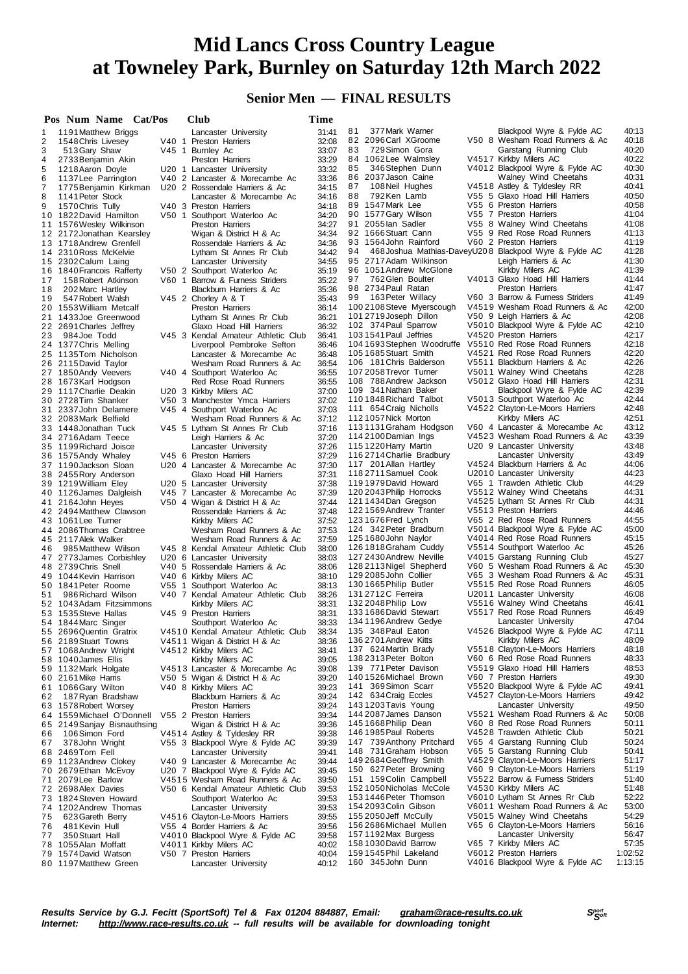### **Senior Men — FINAL RESULTS**

|          | Pos Num Name Cat/Pos                             |       | Club                                                              | Time           |                                                      |                                                                   |                |
|----------|--------------------------------------------------|-------|-------------------------------------------------------------------|----------------|------------------------------------------------------|-------------------------------------------------------------------|----------------|
| 1        | 1191 Matthew Briggs                              |       | Lancaster University                                              | 31:41          | 81<br>377 Mark Warner                                | Blackpool Wyre & Fylde AC                                         | 40:13          |
| 2        | 1548 Chris Livesey                               |       | V40 1 Preston Harriers                                            | 32:08          | 82 2096 Carl XGroome                                 | V50 8 Wesham Road Runners & Ac                                    | 40:18          |
| 3        | 513 Gary Shaw                                    |       | V45 1 Burnley Ac                                                  | 33:07          | 83<br>729 Simon Gora                                 | Garstang Running Club                                             | 40:20          |
| 4<br>5   | 2733 Benjamin Akin                               |       | Preston Harriers                                                  | 33:29<br>33:32 | 84 1062 Lee Walmsley<br>85<br>346 Stephen Dunn       | V4517 Kirkby Milers AC<br>V4012 Blackpool Wyre & Fylde AC         | 40:22<br>40:30 |
| 6        | 1218 Aaron Doyle<br>1137 Lee Parrington          |       | U20 1 Lancaster University<br>V40 2 Lancaster & Morecambe Ac      | 33:36          | 86<br>2037 Jason Caine                               | Walney Wind Cheetahs                                              | 40:31          |
| 7        | 1775 Benjamin Kirkman                            |       | U20 2 Rossendale Harriers & Ac                                    | 34:15          | 87<br>108 Neil Hughes                                | V4518 Astley & Tyldesley RR                                       | 40:41          |
| 8        | 1141 Peter Stock                                 |       | Lancaster & Morecambe Ac                                          | 34:16          | 88<br>792Ken Lamb                                    | V55 5 Glaxo Hoad Hill Harriers                                    | 40:50          |
| 9        | 1570 Chris Tully                                 |       | V40 3 Preston Harriers                                            | 34:18          | 89 1547 Mark Lee                                     | V55 6 Preston Harriers                                            | 40:58          |
| 10       | 1822 David Hamilton                              |       | V50 1 Southport Waterloo Ac                                       | 34:20          | 90 1577 Gary Wilson                                  | V55 7 Preston Harriers                                            | 41:04          |
| 11       | 1576 Wesley Wilkinson                            |       | Preston Harriers                                                  | 34:27          | 91 2055 lan Sadler                                   | V55 8 Walney Wind Cheetahs                                        | 41:08          |
|          | 12 2172 Jonathan Kearsley                        |       | Wigan & District H & Ac                                           | 34:34<br>34:36 | 92 1666 Stuart Cann<br>93 1564 John Rainford         | V55 9 Red Rose Road Runners<br>V60 2 Preston Harriers             | 41:13<br>41:19 |
|          | 13 1718 Andrew Grenfell<br>14 2310 Ross McKelvie |       | Rossendale Harriers & Ac<br>Lytham St Annes Rr Club               | 34:42          | 94                                                   | 468 Joshua Mathias-DaveyU20 8 Blackpool Wyre & Fylde AC           | 41:28          |
|          | 15 2302 Calum Laing                              |       | Lancaster University                                              | 34:55          | 95 2717 Adam Wilkinson                               | Leigh Harriers & Ac                                               | 41:30          |
|          | 16 1840 Francois Rafferty                        |       | V50 2 Southport Waterloo Ac                                       | 35:19          | 96 1051 Andrew McGlone                               | Kirkby Milers AC                                                  | 41:39          |
| 17       | 158 Robert Atkinson                              |       | V60 1 Barrow & Furness Striders                                   | 35:22          | 762 Glen Boulter<br>97                               | V4013 Glaxo Hoad Hill Harriers                                    | 41:44          |
| 18       | 202 Marc Hartley                                 |       | Blackburn Harriers & Ac                                           | 35:36          | 98 2734 Paul Ratan                                   | Preston Harriers                                                  | 41:47          |
| 19       | 547 Robert Walsh                                 |       | V45 2 Chorley A & T                                               | 35:43          | 163 Peter Willacy<br>99<br>100 2108 Steve Myerscough | V60 3 Barrow & Furness Striders<br>V4519 Wesham Road Runners & Ac | 41:49<br>42:00 |
|          | 20 1553 William Metcalf<br>21 1433 Joe Greenwood |       | Preston Harriers<br>Lytham St Annes Rr Club                       | 36:14<br>36:21 | 1012719 Joseph Dillon                                | V50 9 Leigh Harriers & Ac                                         | 42:08          |
|          | 22 2691 Charles Jeffrey                          |       | Glaxo Hoad Hill Harriers                                          | 36:32          | 102 374 Paul Sparrow                                 | V5010 Blackpool Wyre & Fylde AC                                   | 42:10          |
| 23       | 984 Joe Todd                                     |       | V45 3 Kendal Amateur Athletic Club                                | 36:41          | 1031541 Paul Jeffries                                | V4520 Preston Harriers                                            | 42:17          |
|          | 24 1377 Chris Melling                            |       | Liverpool Pembroke Sefton                                         | 36:46          | 104 1693 Stephen Woodruffe                           | V5510 Red Rose Road Runners                                       | 42:18          |
|          | 25 1135 Tom Nicholson                            |       | Lancaster & Morecambe Ac                                          | 36:48          | 1051685Stuart Smith                                  | V4521 Red Rose Road Runners                                       | 42:20          |
|          | 26 2115 David Taylor                             |       | Wesham Road Runners & Ac                                          | 36:54          | 106 181 Chris Balderson                              | V5511 Blackburn Harriers & Ac                                     | 42:26          |
|          | 27 1850 Andy Veevers                             |       | V40 4 Southport Waterloo Ac                                       | 36:55          | 107 2058 Trevor Turner<br>108 788 Andrew Jackson     | V5011 Walney Wind Cheetahs                                        | 42:28<br>42:31 |
|          | 28 1673 Karl Hodgson<br>29 1117 Charlie Deakin   |       | Red Rose Road Runners                                             | 36:55<br>37:00 | 109 341 Nathan Baker                                 | V5012 Glaxo Hoad Hill Harriers<br>Blackpool Wyre & Fylde AC       | 42:39          |
|          | 30 2728 Tim Shanker                              |       | U20 3 Kirkby Milers AC<br>V50 3 Manchester Ymca Harriers          | 37:02          | 1101848 Richard Talbot                               | V5013 Southport Waterloo Ac                                       | 42:44          |
|          | 31 2337 John Delamere                            |       | V45 4 Southport Waterloo Ac                                       | 37:03          | 111 654 Craig Nicholls                               | V4522 Clayton-Le-Moors Harriers                                   | 42:48          |
|          | 32 2083 Mark Belfield                            |       | Wesham Road Runners & Ac                                          | 37:12          | 1121057 Nick Morton                                  | Kirkby Milers AC                                                  | 42:51          |
| 33       | 1448Jonathan Tuck                                |       | V45 5 Lytham St Annes Rr Club                                     | 37:16          | 113 1131 Graham Hodgson                              | V60 4 Lancaster & Morecambe Ac                                    | 43:12          |
|          | 34 2716Adam Teece                                |       | Leigh Harriers & Ac                                               | 37:20          | 114 2100 Damian Ings                                 | V4523 Wesham Road Runners & Ac                                    | 43:39          |
|          | 35 1199 Richard Joisce                           |       | Lancaster University                                              | 37:26          | 1151220 Harry Martin                                 | U20 9 Lancaster University                                        | 43:48<br>43:49 |
|          | 36 1575 Andy Whaley<br>37 1190 Jackson Sloan     |       | V45 6 Preston Harriers<br>U20 4 Lancaster & Morecambe Ac          | 37:29<br>37:30 | 1162714 Charlie Bradbury<br>117 201 Allan Hartley    | Lancaster University<br>V4524 Blackburn Harriers & Ac             | 44:06          |
|          | 38 2455 Rory Anderson                            |       | Glaxo Hoad Hill Harriers                                          | 37:31          | 1182711 Samuel Cook                                  | U2010 Lancaster University                                        | 44:23          |
|          | 39 1219 William Eley                             |       | U20 5 Lancaster University                                        | 37:38          | 1191979 David Howard                                 | V65 1 Trawden Athletic Club                                       | 44:29          |
|          | 40 1126 James Dalgleish                          |       | V45 7 Lancaster & Morecambe Ac                                    | 37:39          | 120 2043 Philip Horrocks                             | V5512 Walney Wind Cheetahs                                        | 44:31          |
|          | 41 2164 John Heyes                               |       | V50 4 Wigan & District H & Ac                                     | 37:44          | 121 1434 Dan Gregson                                 | V4525 Lytham St Annes Rr Club                                     | 44:31          |
|          | 42 2494 Matthew Clawson                          |       | Rossendale Harriers & Ac                                          | 37:48          | 1221569 Andrew Tranter                               | V5513 Preston Harriers                                            | 44:46          |
|          | 43 1061 Lee Turner                               |       | Kirkby Milers AC                                                  | 37:52          | 1231676 Fred Lynch<br>124 342 Peter Bradburn         | V65 2 Red Rose Road Runners<br>V5014 Blackpool Wyre & Fylde AC    | 44:55<br>45:00 |
|          | 44 2086 Thomas Crabtree<br>45 2117 Alek Walker   |       | Wesham Road Runners & Ac<br>Wesham Road Runners & Ac              | 37:53<br>37:59 | 1251680John Naylor                                   | V4014 Red Rose Road Runners                                       | 45:15          |
| 46.      | 985 Matthew Wilson                               |       | V45 8 Kendal Amateur Athletic Club                                | 38:00          | 126 1818 Graham Cuddy                                | V5514 Southport Waterloo Ac                                       | 45:26          |
|          | 47 2773 James Corbishley                         |       | U20 6 Lancaster University                                        | 38:03          | 127 2430 Andrew Neville                              | V4015 Garstang Running Club                                       | 45:27          |
|          | 48 2739 Chris Snell                              |       | V40 5 Rossendale Harriers & Ac                                    | 38:06          | 128 2113 Nigel Shepherd                              | V60 5 Wesham Road Runners & Ac                                    | 45:30          |
|          | 49 1044 Kevin Harrison                           |       | V40 6 Kirkby Milers AC                                            | 38:10          | 129 2085 John Collier                                | V65 3 Wesham Road Runners & Ac                                    | 45:31          |
|          | 50 1841 Peter Roome                              | V55 1 | Southport Waterloo Ac                                             | 38:13          | 1301665Philip Butler                                 | V5515 Red Rose Road Runners                                       | 46:05          |
| 51       | 986 Richard Wilson                               |       | V40 7 Kendal Amateur Athletic Club                                | 38:26          | 131 271 2C Ferreira<br>132 2048 Philip Low           | U2011 Lancaster University<br>V5516 Walney Wind Cheetahs          | 46:08<br>46:41 |
|          | 52 1043 Adam Fitzsimmons<br>53 1535 Steve Hallas |       | Kirkby Milers AC<br>V45 9 Preston Harriers                        | 38:31<br>38:31 | 133 1686 David Stewart                               | V5517 Red Rose Road Runners                                       | 46:49          |
|          | 54 1844 Marc Singer                              |       | Southport Waterloo Ac                                             | 38:33          | 134 1196 Andrew Gedye                                | Lancaster University                                              | 47:04          |
| 55       | 2696 Quentin Gratrix                             |       | V4510 Kendal Amateur Athletic Club                                | 38:34          | 135 348 Paul Eaton                                   | V4526 Blackpool Wyre & Fylde AC                                   | 47:11          |
| 56       | 2189 Stuart Towns                                |       | V4511 Wigan & District H & Ac                                     | 38:36          | 136 2701 Andrew Kitts                                | Kirkby Milers AC                                                  | 48:09          |
| 57       | 1068 Andrew Wright                               |       | V4512 Kirkby Milers AC                                            | 38:41          | 137 624 Martin Brady                                 | V5518 Clayton-Le-Moors Harriers                                   | 48:18          |
| 58       | 1040 James Ellis                                 |       | Kirkby Milers AC                                                  | 39:05          | 138 2313 Peter Bolton                                | V60 6 Red Rose Road Runners                                       | 48:33          |
| 59       | 1132 Mark Holgate                                |       | V4513 Lancaster & Morecambe Ac                                    | 39:08          | 139 771 Peter Davison<br>1401526 Michael Brown       | V5519 Glaxo Hoad Hill Harriers<br>V60 7 Preston Harriers          | 48:53<br>49:30 |
| 60<br>61 | 2161 Mike Harris<br>1066 Gary Wilton             |       | V50 5 Wigan & District H & Ac<br>V40 8 Kirkby Milers AC           | 39:20<br>39:23 | 141 369 Simon Scarr                                  | V5520 Blackpool Wyre & Fylde AC                                   | 49:41          |
| 62       | 187 Ryan Bradshaw                                |       | Blackburn Harriers & Ac                                           | 39:24          | 142 634 Craig Eccles                                 | V4527 Clayton-Le-Moors Harriers                                   | 49:42          |
| 63       | 1578 Robert Worsey                               |       | Preston Harriers                                                  | 39:24          | 1431203 Tavis Young                                  | Lancaster University                                              | 49:50          |
| 64       | 1559 Michael O'Donnell                           |       | V55 2 Preston Harriers                                            | 39:34          | 144 2087 James Danson                                | V5521 Wesham Road Runners & Ac                                    | 50:08          |
| 65       | 2149 Sanjay Bisnauthsing                         |       | Wigan & District H & Ac                                           | 39:36          | 1451668Philip Dean                                   | V60 8 Red Rose Road Runners                                       | 50:11          |
| 66       | 106 Simon Ford                                   |       | V4514 Astley & Tyldesley RR                                       | 39:38          | 146 1985 Paul Roberts                                | V4528 Trawden Athletic Club                                       | 50:21          |
| 67       | 378 John Wright                                  |       | V55 3 Blackpool Wyre & Fylde AC                                   | 39:39          | 147 739 Anthony Pritchard                            | V65 4 Garstang Running Club<br>V65 5 Garstang Running Club        | 50:24<br>50:41 |
| 68       | 2469Tom Fell<br>1123 Andrew Clokey               |       | Lancaster University                                              | 39:41<br>39:44 | 148 731 Graham Hobson<br>149 2684 Geoffrey Smith     | V4529 Clayton-Le-Moors Harriers                                   | 51:17          |
| 69<br>70 | 2679 Ethan McEvoy                                |       | V40 9 Lancaster & Morecambe Ac<br>U20 7 Blackpool Wyre & Fylde AC | 39.45          | 150 627 Peter Browning                               | V60 9 Clayton-Le-Moors Harriers                                   | 51:19          |
| 71       | 2079 Lee Barlow                                  |       | V4515 Wesham Road Runners & Ac                                    | 39:50          | 151 159 Colin Campbell                               | V5522 Barrow & Furness Striders                                   | 51:40          |
| 72       | 2698 Alex Davies                                 |       | V50 6 Kendal Amateur Athletic Club                                | 39:53          | 1521050 Nicholas McCole                              | V4530 Kirkby Milers AC                                            | 51:48          |
| 73       | 1824 Steven Howard                               |       | Southport Waterloo Ac                                             | 39:53          | 1531446 Peter Thomson                                | V6010 Lytham St Annes Rr Club                                     | 52:22          |
| 74       | 1202 Andrew Thomas                               |       | Lancaster University                                              | 39:53          | 154 2093 Colin Gibson                                | V6011 Wesham Road Runners & Ac                                    | 53:00          |
| 75       | 623 Gareth Berry                                 |       | V4516 Clayton-Le-Moors Harriers                                   | 39:55          | 155 2050 Jeff McCully                                | V5015 Walney Wind Cheetahs                                        | 54:29          |
| 76       | 481 Kevin Hull                                   |       | V55 4 Border Harriers & Ac                                        | 39:56          | 156 2686 Michael Mullen<br>1571192 Max Burgess       | V65 6 Clayton-Le-Moors Harriers<br>Lancaster University           | 56:16<br>56:47 |
| 77<br>78 | 350 Stuart Hall<br>1055 Alan Moffatt             |       | V4010 Blackpool Wyre & Fylde AC<br>V4011 Kirkby Milers AC         | 39:58<br>40:02 | 158 1030 David Barrow                                | V65 7 Kirkby Milers AC                                            | 57:35          |
| 79       | 1574 David Watson                                |       | V50 7 Preston Harriers                                            | 40:04          | 1591545 Phil Lakeland                                | V6012 Preston Harriers                                            | 1:02:52        |
|          | 80 1197 Matthew Green                            |       | Lancaster University                                              | 40:12          | 160 345 John Dunn                                    | V4016 Blackpool Wyre & Fylde AC                                   | 1:13:15        |
|          |                                                  |       |                                                                   |                |                                                      |                                                                   |                |

Results Service by G.J. Fecitt (SportSoft) Tel & Fax 01204 884887, Email: <u>[graham@race-results.co.uk](mailto:graham@race-results.co.uk)</u> S<sup>oon</sup><br>Internet: <u><http://www.race-results.co.uk></u> -- full results will be available for downloading tonight